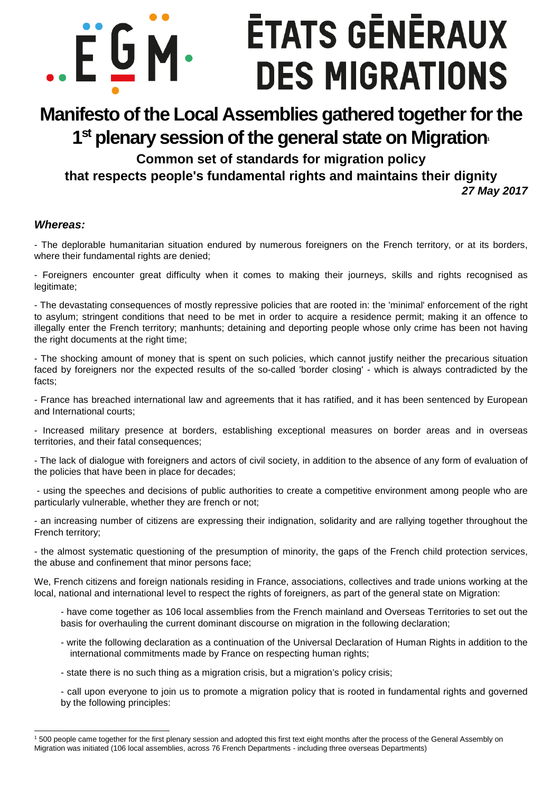# **ETATS GENERAUX** .EGM. **DES MIGRATIONS**

# **Manifesto of the Local Assemblies gathered together for the 1 st plenary session of the general state on Migration<sup>1</sup>**

**Common set of standards for migration policy that respects people's fundamental rights and maintains their dignity** 

**27 May 2017**

#### **Whereas:**

-

- The deplorable humanitarian situation endured by numerous foreigners on the French territory, or at its borders, where their fundamental rights are denied:

- Foreigners encounter great difficulty when it comes to making their journeys, skills and rights recognised as legitimate;

- The devastating consequences of mostly repressive policies that are rooted in: the 'minimal' enforcement of the right to asylum; stringent conditions that need to be met in order to acquire a residence permit; making it an offence to illegally enter the French territory; manhunts; detaining and deporting people whose only crime has been not having the right documents at the right time;

- The shocking amount of money that is spent on such policies, which cannot justify neither the precarious situation faced by foreigners nor the expected results of the so-called 'border closing' - which is always contradicted by the facts;

- France has breached international law and agreements that it has ratified, and it has been sentenced by European and International courts;

- Increased military presence at borders, establishing exceptional measures on border areas and in overseas territories, and their fatal consequences;

- The lack of dialogue with foreigners and actors of civil society, in addition to the absence of any form of evaluation of the policies that have been in place for decades;

 - using the speeches and decisions of public authorities to create a competitive environment among people who are particularly vulnerable, whether they are french or not;

- an increasing number of citizens are expressing their indignation, solidarity and are rallying together throughout the French territory;

- the almost systematic questioning of the presumption of minority, the gaps of the French child protection services, the abuse and confinement that minor persons face;

We, French citizens and foreign nationals residing in France, associations, collectives and trade unions working at the local, national and international level to respect the rights of foreigners, as part of the general state on Migration:

- have come together as 106 local assemblies from the French mainland and Overseas Territories to set out the basis for overhauling the current dominant discourse on migration in the following declaration;

- write the following declaration as a continuation of the Universal Declaration of Human Rights in addition to the international commitments made by France on respecting human rights;
- state there is no such thing as a migration crisis, but a migration's policy crisis;

- call upon everyone to join us to promote a migration policy that is rooted in fundamental rights and governed by the following principles:

<sup>&</sup>lt;sup>1</sup> 500 people came together for the first plenary session and adopted this first text eight months after the process of the General Assembly on Migration was initiated (106 local assemblies, across 76 French Departments - including three overseas Departments)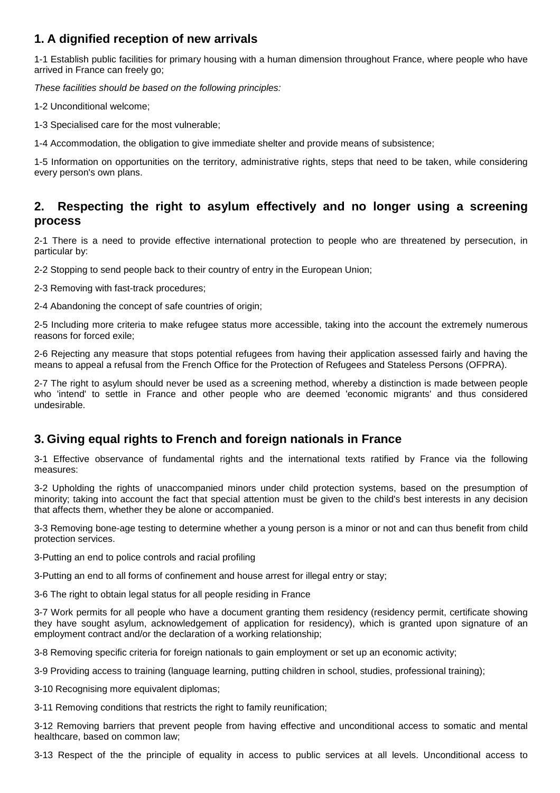## **1. A dignified reception of new arrivals**

1-1 Establish public facilities for primary housing with a human dimension throughout France, where people who have arrived in France can freely go;

These facilities should be based on the following principles:

1-2 Unconditional welcome;

1-3 Specialised care for the most vulnerable;

1-4 Accommodation, the obligation to give immediate shelter and provide means of subsistence;

1-5 Information on opportunities on the territory, administrative rights, steps that need to be taken, while considering every person's own plans.

#### **2. Respecting the right to asylum effectively and no longer using a screening process**

2-1 There is a need to provide effective international protection to people who are threatened by persecution, in particular by:

2-2 Stopping to send people back to their country of entry in the European Union;

2-3 Removing with fast-track procedures;

2-4 Abandoning the concept of safe countries of origin;

2-5 Including more criteria to make refugee status more accessible, taking into the account the extremely numerous reasons for forced exile;

2-6 Rejecting any measure that stops potential refugees from having their application assessed fairly and having the means to appeal a refusal from the French Office for the Protection of Refugees and Stateless Persons (OFPRA).

2-7 The right to asylum should never be used as a screening method, whereby a distinction is made between people who 'intend' to settle in France and other people who are deemed 'economic migrants' and thus considered undesirable.

#### **3. Giving equal rights to French and foreign nationals in France**

3-1 Effective observance of fundamental rights and the international texts ratified by France via the following measures:

3-2 Upholding the rights of unaccompanied minors under child protection systems, based on the presumption of minority; taking into account the fact that special attention must be given to the child's best interests in any decision that affects them, whether they be alone or accompanied.

3-3 Removing bone-age testing to determine whether a young person is a minor or not and can thus benefit from child protection services.

3-Putting an end to police controls and racial profiling

3-Putting an end to all forms of confinement and house arrest for illegal entry or stay;

3-6 The right to obtain legal status for all people residing in France

3-7 Work permits for all people who have a document granting them residency (residency permit, certificate showing they have sought asylum, acknowledgement of application for residency), which is granted upon signature of an employment contract and/or the declaration of a working relationship;

3-8 Removing specific criteria for foreign nationals to gain employment or set up an economic activity;

3-9 Providing access to training (language learning, putting children in school, studies, professional training);

3-10 Recognising more equivalent diplomas;

3-11 Removing conditions that restricts the right to family reunification;

3-12 Removing barriers that prevent people from having effective and unconditional access to somatic and mental healthcare, based on common law;

3-13 Respect of the the principle of equality in access to public services at all levels. Unconditional access to